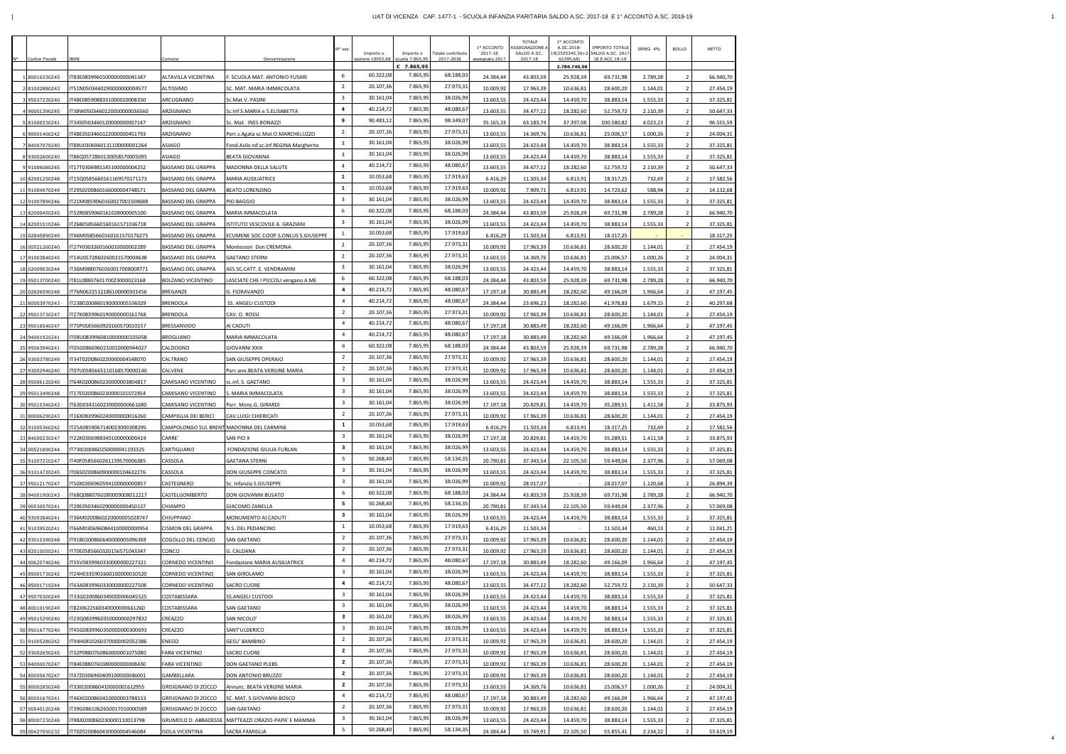|                                  |                                                           |                                   |                                                       | N° sez.                        | Importo x              | Importo x                       | <b>Totale contributo</b> | 1º ACCONTO<br>2017-18  | <b>TOTALE</b><br>ASSEGNAZIONE /<br>SALDO A.SC. | 1º ACCONTO<br>A.SC.2018-<br>19(2525345,30+2 | IMPORTO TOTALE<br>SALDO A.SC. 2017 | IRPEG 4%             | <b>BOLLO</b>                     | NETTO                  |
|----------------------------------|-----------------------------------------------------------|-----------------------------------|-------------------------------------------------------|--------------------------------|------------------------|---------------------------------|--------------------------|------------------------|------------------------------------------------|---------------------------------------------|------------------------------------|----------------------|----------------------------------|------------------------|
| Codice Fiscale                   | BAN                                                       | Comune                            | Denominazione                                         |                                | sezione 10053,68       | scuola 7.865,95<br>$C$ 7.865,95 | 2017-2018                | assegnato 2017         | 2017-18                                        | 61395,68)<br>2.786.740,98                   | 18 E ACC.18-19                     |                      |                                  |                        |
| 180016330245                     | T83E0839960100000000041347                                | ALTAVILLA VICENTINA               | F. SCUOLA MAT. ANTONIO FUSARI                         | 6                              | 60.322,08              | 7.865,99                        | 68.188,0                 | 24.384,44              | 43.803,59                                      | 25.928,39                                   | 69.731,98                          | 2.789,28             | - 2                              | 66.940,70              |
| 281002880243                     | T51N05034602900000000004577                               | ALTISSIMO                         | SC. MAT. MARIA IMMACOLATA                             | $\overline{2}$                 | 20.107,36              | 7.865,99                        | 27.973,3                 | 10.009,92              | 17.963,39                                      | 10.636,81                                   | 28.600,20                          | 1.144,01             | - 2                              | 27.454,19              |
| 95037230240                      | T48E0859088331000010008350                                | ARCUGNANO                         | Sc.Mat.V. PASINI                                      | $\overline{3}$                 | 30.161,04              | 7.865,99                        | 38.026,99                | 13.603,55              | 24.423,44                                      | 14.459,70                                   | 38.883,14                          | 1.555,33             | - 2                              | 37.325,81              |
| 4 90001390245                    | T38W0503460120000000036560                                | ARZIGNANO                         | Sc.Inf.S.MARIA e S.ELISABETTA                         | 4                              | 40.214,72              | 7.865,95                        | 48.080,67                | 13.603,55              | 34.477,12                                      | 18.282,60                                   | 52.759,72                          | 2.110,39             | $\overline{2}$                   | 50.647,33              |
| 81000330241                      | T34S0503460120000000007147                                | ARZIGNANO                         | Sc. Mat. INES BONAZZI                                 | 9                              | 90.483,12              | 7.865,99                        | 98.349,0                 | 35.165,33              | 63.183,74                                      | 37.397,08                                   | 100.580,82                         | 4.023,23             | $\overline{2}$                   | 96.555,59              |
| 6 90001400242                    | T48E0503460122000000451793                                | ARZIGNANO                         | Parr.s.Agata sc.Mat.O.MARCHELUZZO                     | $\overline{2}$                 | 20.107,36              | 7.865,95                        | 27.973,3                 | 13.603,55              | 14.369,76                                      | 10.636,81                                   | 25.006,57                          | 1.000,26             | - 2                              | 24.004,31              |
| 84007070240                      | T89U0306960131100000001264                                | ASIAGO                            | Fond.Asilo inf.sc.inf.REGINA Margherita               | $\overline{3}$                 | 30.161,04              | 7.865,95                        | 38.026,9                 | 13.603,55              | 24.423,44                                      | 14.459,70                                   | 38.883,14                          | 1.555,33             | - 2                              | 37.325,81              |
| 93002600240                      | T86Q0572860130058570005095                                | ASIAGO                            | BEATA GIOVANNA                                        | $\overline{3}$                 | 30.161,04              | 7.865,95                        | 38.026,99                | 13.603,55              | 24.423,44                                      | 14.459,70                                   | 38.883,14                          | 1.555,33             | - 2                              | 37.325,81              |
| 9 91006080245                    | IT17T0306985145100000004252                               | BASSANO DEL GRAPPA                | MADONNA DELLA SALUTE                                  | $\overline{4}$                 | 40.214,72              | 7.865,95                        | 48.080,67                | 13.603,55              | 34.477,12                                      | 18.282,60                                   | 52.759,72                          | 2.110,39             | - 2                              | 50.647,33              |
| 10 82001250248                   | T15Q0585660161169570171173                                | BASSANO DEL GRAPPA                | <b>MARIA AUSILIATRICE</b>                             | $\mathbf{1}$                   | 10.053,68              | 7.865,99                        | 17.919,63                | 6.416,29               | 11.503,34                                      | 6.813,91                                    | 18.317,25                          | 732,69               | $\overline{2}$                   | 17.582,56              |
| 11 91004970249                   | T29S0200860166000004748571                                | BASSANO DEL GRAPPA                | BEATO LORENZINO                                       | $\mathbf{1}$                   | 10.053,68              | 7.865,99                        | 17.919,63                | 10.009,92              | 7.909,71                                       | 6.813,91                                    | 14.723,62                          | 588,94               | $\overline{2}$                   | 14.132,68              |
| 12 91007890246                   | T21M0859060160027001508688                                | BASSANO DEL GRAPPA                | PIO BAGGIO                                            | $\overline{3}$                 | 30.161,04              | 7.865,99                        | 38.026,9                 | 13.603,55              | 24.423,44                                      | 14.459,70                                   | 38.883,14                          | 1.555,33             | $\overline{2}$                   | 37.325,81              |
| 13 82000450245                   | T52R0859060161028000005100                                | BASSANO DEL GRAPPA                | MARIA IMMACOLATA                                      | 6                              | 60.322,08              | 7.865,95                        | 68.188,0                 | 24.384,44              | 43.803,59                                      | 25.928,39                                   | 69.731,98                          | 2.789,28             | $\overline{2}$                   | 66.940,70              |
| 14 82001010246                   | T26B0585660160161571036718                                | BASSANO DEL GRAPPA                | STITUTO VESCOVILE A. GRAZIANI                         | $\overline{3}$<br>$\mathbf{1}$ | 30.161,04<br>10.053,68 | 7.865,95<br>7.865,99            | 38.026,99<br>17.919,63   | 13.603,55              | 24.423,44                                      | 14.459,70                                   | 38.883,14                          | 1.555,33             | $\overline{2}$                   | 37.325,81              |
| 15 02845890249                   | T46M0585660160161570176275                                | BASSANO DEL GRAPPA                | ECUMENE SOC.COOP.S.ONLUS S.GIUSEPPE                   | $\overline{2}$                 | 20.107,36              | 7.865,95                        | 27.973,3                 | 6.416,29               | 11.503,34                                      | 6.813,91                                    | 18.317,25                          |                      |                                  | 18.317,25              |
| 16 00521260240                   | T27Y0303260160010000002289                                | BASSANO DEL GRAPPA                | Montessori Don CREMONA                                | $\overline{2}$                 | 20.107,36              | 7.865,95                        | 27.973,3                 | 10.009,92              | 17.963,39                                      | 10.636,81                                   | 28.600,20                          | 1.144,01             | $\overline{2}$                   | 27.454,19              |
| 17 91003840245                   | T14U0572860260021570004638                                | BASSANO DEL GRAPPA                | <b>GAETANO STERNI</b>                                 | $\overline{3}$                 | 30.161,04              | 7.865,95                        | 38.026,99                | 13.603,55              | 14.369,76                                      | 10.636,81                                   | 25.006,57                          | 1.000,26             | $\overline{2}$                   | 24.004,31              |
| 18 02009030244                   | T36M0880760260017008008771                                | <b>BASSANO DEL GRAPPA</b>         | ASS.SC.CATT. E. VENDRAMINI                            | 6                              | 60.322,08              | 7.865,95                        | 68.188,0                 | 13.603,55              | 24.423,44                                      | 14.459,70                                   | 38.883,14                          | 1.555,33             | $\overline{2}$<br>$\overline{2}$ | 37.325,81<br>66.940,70 |
| 19 95013700240<br>20 02826590248 | T81L0880760170023000023168<br>IT76N0622512186100000301456 | BOLZANO VICENTINO<br>BREGANZE     | LASCIATE CHE I PICCOLI vengano A ME<br>G. FIORAVANZO  | 4                              | 40.214,72              | 7.865,9                         | 48.080,6                 | 24.384,44<br>17.197,18 | 43.803,59<br>30.883,49                         | 25.928,39<br>18.282,60                      | 69.731,98<br>49.166,09             | 2.789,28<br>1.966,64 | $\overline{2}$                   | 47.197,45              |
| 21 80003970243                   | T23B0200860190000005536029                                | BRENDOLA                          | SS. ANGELI CUSTODI                                    | $\overline{4}$                 | 40.214,72              | 7.865,99                        | 48.080,6                 | 24.384,44              | 23.696,23                                      | 18.282,60                                   | 41.978,83                          | 1.679,15             | - 2                              | 40.297,68              |
| 22 95013730247                   | T27K0839960190000000161768                                | BRENDOLA                          | CAV. O. ROSSI                                         | $\overline{2}$                 | 20.107,36              | 7.865,95                        | 27.973,3                 | 10.009,92              | 17.963,39                                      | 10.636,81                                   | 28.600,20                          | 1.144,01             | $\overline{2}$                   | 27.454,19              |
| 23 95016540247                   | T75P0585660920160570010157                                | BRESSANVIDO                       | AI CADUTI                                             | $\overline{4}$                 | 40.214,72              | 7.865,95                        | 48.080,67                | 17.197,18              | 30.883,49                                      | 18.282,60                                   | 49.166,09                          | 1.966,64             |                                  | 47.197,45              |
| 24 94001920241                   | T08U0839960810000000105058                                | BROGLIANO                         | MARIA IMMACOLATA                                      | $\overline{4}$                 | 40.214,72              | 7.865,95                        | 48.080,67                | 17.197,18              | 30.883,49                                      | 18.282,60                                   | 49.166,09                          | 1.966,64             | - 2                              | 47.197,45              |
| 25 95063940241                   | T05G0866960210010000944027                                | CALDOGNO                          | GIOVANNI XXIII                                        | 6                              | 60.322,08              | 7.865,95                        | 68.188,0                 | 24.384,44              | 43.803,59                                      | 25.928,39                                   | 69.731,98                          | 2.789,28             |                                  | 66.940,70              |
| 26 93003780249                   | T34T0200860220000004548070                                | CALTRANO                          | SAN GIUSEPPE OPERAIO                                  | $\overline{2}$                 | 20.107,36              | 7.865,95                        | 27.973,3                 | 10.009,92              | 17.963,39                                      | 10.636,81                                   | 28.600,20                          | 1.144,01             |                                  | 27.454,19              |
| 27 93002940240                   | T07U0585665110168570000140                                | CALVENE                           | Parr.ann.BEATA VERGINE MARIA                          | $\overline{2}$                 | 20.107,36              | 7.865,95                        | 27.973,3                 | 10.009,92              | 17.963,39                                      | 10.636,81                                   | 28.600,20                          | 1.144,01             | - 2                              | 27.454,19              |
| 28 95006120240                   | T64K0200860230000003804817                                | CAMISANO VICENTINO                | sc.inf. S. GAETANO                                    | $\overline{\mathbf{3}}$        | 30.161,04              | 7.865,95                        | 38.026,99                | 13.603,55              | 24.423,44                                      | 14.459,70                                   | 38.883,14                          | 1.555,33             | - 2                              | 37.325,81              |
| 29 95013490248                   | T17E0200860230000101072854                                | CAMISANO VICENTINO                | S. MARIA IMMACOLATA                                   | $\overline{\mathbf{3}}$        | 30.161,04              | 7.865,95                        | 38.026,99                | 13.603,55              | 24.423,44                                      | 14.459,70                                   | 38.883,14                          | 1.555,33             | $\overline{2}$                   | 37.325,81              |
| 30 95015340243                   | T63D0343160230000000661680                                | CAMISANO VICENTINO                | Parr. Mons.G. GIRARDI                                 | $\overline{3}$                 | 30.161,04              | 7.865,9                         | 38.026,9                 | 17.197,18              | 20.829,81                                      | 14.459,70                                   | 35.289,51                          | 1.411,58             | $\overline{2}$                   | 33.875,93              |
| 31 80006290243                   | T16X0839960240000000016260                                | CAMPIGLIA DEI BERICI              | CAV.LUIGI CHIERICATI                                  | $\overline{2}$                 | 20.107,36              | 7.865,99                        | 27.973,3                 | 10.009,92              | 17.963,39                                      | 10.636,81                                   | 28.600,20                          | 1.144,01             | $\overline{2}$                   | 27.454,19              |
| 32 91005360242                   | T25A0859067140023000308295                                |                                   | CAMPOLONGO SUL BRENT MADONNA DEL CARMINE              | $\mathbf{1}$                   | 10.053,68              | 7.865,99                        | 17.919,63                | 6.416,29               | 11.503,34                                      | 6.813,91                                    | 18.317,25                          | 732,69               | $\overline{2}$                   | 17.582,56              |
| 33 84000230247                   | IT22K0306988340100000000419                               | CARRE'                            | SAN PIO X                                             | $\overline{3}$                 | 30.161,04              | 7.865,95                        | 38.026,99                | 17.197,18              | 20.829,81                                      | 14.459,70                                   | 35.289,51                          | 1.411,58             |                                  | 33.875,93              |
| 34 00521890244                   | T73I0200860250000041193325                                | CARTIGLIANO                       | FONDAZIONE GIULIA FURLAN                              | $\overline{\mathbf{3}}$        | 30.161,04              | 7.865,95                        | 38.026,99                | 13.603,55              | 24.423,44                                      | 14.459,70                                   | 38.883,14                          | 1.555,33             | $\overline{2}$                   | 37.325,81              |
| 35 91007210247                   | T40F0585660261159570006385                                | CASSOLA                           | GAETANA STERNI                                        | 5                              | 50.268,40              | 7.865,99                        | 58.134,35                | 20.790,81              | 37.343,54                                      | 22.105,50                                   | 59.449,04                          | 2.377,96             | - 2                              | 57.069,08              |
| 36 91014730245                   | T06S0200860900000104632276                                | CASSOLA                           | DON GIUSEPPE CONCATO                                  | $\overline{3}$                 | 30.161,04              | 7.865,95                        | 38.026,99                | 13.603,55              | 24.423,44                                      | 14.459,70                                   | 38.883,14                          | 1.555,33             | - 2                              | 37.325,81              |
| 37 95012170247                   | T50X0306960594100000000857                                | CASTEGNERO                        | Sc. Infanzia S.GIUSEPPE                               | $\overline{3}$                 | 30.161,04              | 7.865,95                        | 38.026,99                | 10.009,92              | 28.017,07                                      | $\overline{\phantom{a}}$                    | 28.017,07                          | 1.120,68             | $\overline{2}$                   | 26.894,39              |
| 38 94001900243                   | T68Q0880760280009008012217                                | CASTELGOMBERTO                    | DON GIOVANNI BUSATO                                   | 6                              | 60.322,08              | 7.865,95                        | 68.188,03                | 24.384,44              | 43.803,59                                      | 25.928,39                                   | 69.731,98                          | 2.789,28             | - 2                              | 66.940,70              |
| 39 00530570241                   | T29E0503460290000000450137                                | CHIAMPO                           | <b>GIACOMO ZANELLA</b>                                | 5                              | 50.268,40              | 7.865,99                        | 58.134,35                | 20.790,81              | 37.343,54                                      | 22.105,50                                   | 59.449,04                          | 2.377,96             | - 2                              | 57.069,08              |
| 40 93003840241                   | IT36M0200860220000005028747                               | CHIUPPANO                         | MONUMENTO AI CADUTI                                   | $\overline{\mathbf{3}}$        | 30.161,04              | 7.865,99                        | 38.026,99                | 13.603,55              | 24.423,44                                      | 14.459,70                                   | 38.883,14                          | 1.555,33             | $\overline{2}$                   | 37.325,81              |
| 41 91039520241                   | T66M0306960844100000000954                                | CISMON DEL GRAPPA                 | N.S. DEL PEDANCINO                                    | $\mathbf{1}$<br>$\overline{2}$ | 10.053,68<br>20.107,36 | 7.865,99<br>7.865,95            | 17.919,63<br>27.973,31   | 6.416,29               | 11.503,34                                      |                                             | 11.503,34                          | 460,13               | $\overline{2}$                   | 11.041,21              |
| 42 93010390248                   | T91B0200860640000005096369                                | COGOLLO DEL CENGIO                | SAN GAETANO                                           | $\overline{2}$                 | 20.107,36              | 7.865,95                        | 27.973,3                 | 10.009,92              | 17.963,39                                      | 10.636,81                                   | 28.600,20                          | 1.144,01             | $\overline{2}$                   | 27.454,19              |
| 43 82010050241                   | T70E0585660320156571043347                                | CONCO                             | G. CALDANA                                            | $\overline{4}$                 | 40.214,72              | 7.865,95                        | 48.080,67                | 10.009,92              | 17.963,39                                      | 10.636,81                                   | 28.600,20                          | 1.144,01             | - 2                              | 27.454,19              |
| 44 00625740246                   | T55V0839960330000000227321                                | CORNEDO VICENTINO                 | Fondazione MARIA AUSILIATRICE                         | $\overline{\mathbf{3}}$        | 30.161,04              | 7.865,95                        | 38.026,99                | 17.197,18              | 30.883,49                                      | 18.282,60                                   | 49.166,09                          | 1.966,64             | $\overline{2}$                   | 47.197,45              |
| 45 85001730242                   | T24H0335901600100000010520                                | CORNEDO VICENTINO                 | SAN GIROLAMO                                          | 4                              | 40.214,72              | 7.865,95                        | 48.080,67                | 13.603,55              | 24.423,44                                      | 14.459,70                                   | 38.883,14                          | 1.555,33             | $\overline{2}$                   | 37.325,81              |
| 46 85001710244<br>47 95070300249 | T63A0839960330000000227508<br>T33G0200860340000006045525  | CORNEDO VICENTINO<br>COSTABISSARA | SACRO CUORE<br><b>SS.ANGELI CUSTODI</b>               | $\overline{3}$                 | 30.161,04              | 7.865,95                        | 38.026,99                | 13.603,55<br>13.603,55 | 34.477,12<br>24.423,44                         | 18.282,60<br>14.459,70                      | 52.759,72<br>38.883,14             | 2.110,39<br>1.555,33 | $\overline{2}$<br>$\overline{2}$ | 50.647,33<br>37.325,81 |
| 48 80010190249                   | T82J0622560340000000661260                                | COSTABISSARA                      | SAN GAETANO                                           | $\overline{\mathbf{3}}$        | 30.161,04              | 7.865,95                        | 38.026,99                | 13.603,55              | 24.423,44                                      | 14.459,70                                   | 38.883,14                          | 1.555,33             | $\overline{2}$                   | 37.325,81              |
| 49 95015290240                   | T23Q0839960350000000297832                                | CREAZZO                           | SAN NICOLO'                                           | $\overline{\mathbf{3}}$        | 30.161,04              | 7.865,99                        | 38.026,9                 | 13.603,55              | 24.423,44                                      | 14.459,70                                   | 38.883,14                          | 1.555,33             | $\overline{2}$                   | 37.325,81              |
| 50 95016770240                   | T45G0839960350000000300693                                | CREAZZO                           | SANT'ULDERICO                                         | $\overline{\mathbf{3}}$        | 30.161,04              | 7.865,9                         | 38.026,9                 | 13.603,55              | 24.423,44                                      | 14.459,70                                   | 38.883,14                          | 1.555,33             | $\overline{2}$                   | 37.325,81              |
| 51 91005280242                   | T94H0810260370000002052386                                | ENEGO                             | GESU' BAMBINO                                         | $\overline{2}$                 | 20.107,36              | 7.865,99                        | 27.973,3                 | 10.009,92              | 17.963,39                                      | 10.636,81                                   | 28.600,20                          | 1.144,01             | - 2                              | 27.454,19              |
| 52 93002650245                   | T32P0880760860000001075080                                | FARA VICENTINO                    | SACRO CUORE                                           | $\overline{2}$                 | 20.107,36              | 7.865,95                        | 27.973,31                | 10.009,92              | 17.963,39                                      | 10.636,81                                   | 28.600,20                          | 1.144,01             | - 2                              | 27.454,19              |
| 53 84000070247                   | T84E0880760380000000008430                                | <b>FARA VICENTINO</b>             | DON GAETANO PLEBS                                     | $\mathbf{2}$                   | 20.107,36              | 7.865,95                        | 27.973,31                | 10.009,92              | 17.963,39                                      | 10.636,81                                   | 28.600,20                          | 1.144,01             | $\overline{2}$                   | 27.454,19              |
| 54 80005670247                   | T47Z0306960409100000046001                                | GAMBELLARA                        | DON ANTONIO BRUZZO                                    | $\mathbf{2}$                   | 20.107,36              | 7.865,95                        | 27.973,3                 | 10.009,92              | 17.963,39                                      | 10.636,81                                   | 28.600,20                          | 1.144,01             | $\overline{\phantom{a}}$         | 27.454,19              |
| 55 80002850248                   | T33I0200860410000001612955                                | GRISIGNANO DI ZOCCO               | Annunc. BEATA VERGINE MARIA                           | $\overline{2}$                 | 20.107,36              | 7.865,95                        | 27.973,3                 | 13.603,55              | 14.369,76                                      | 10.636,81                                   | 25.006,57                          | 1.000,26             | $\overline{2}$                   | 24.004,31              |
| 56 80001670241                   | T46X0200860410000003788153                                | <b>GRISIGNANO DI ZOCCO</b>        | SC. MAT. S.GIOVANNI BOSCO                             | $\overline{4}$                 | 40.214,72              | 7.865,95                        | 48.080,67                | 17.197,18              | 30.883,49                                      | 18.282,60                                   | 49.166,09                          | 1.966,64             | - 2                              | 47.197,45              |
| 57 00545120248                   | T39G0861062650017010000589                                | GRISIGNANO DI ZOCCO               | <b>SAN GAETANO</b>                                    | $\overline{2}$                 | 20.107,36              | 7.865,95                        | 27.973,31                | 10.009,92              | 17.963,39                                      | 10.636,81                                   | 28.600,20                          | 1.144,01             | $\overline{2}$                   | 27.454,19              |
| 58 80007230248                   | T98J0200860230000110013798                                |                                   | GRUMOLO D. ABBADESSE   MATTEAZZI ORAZIO-PAPA' E MAMMA | $\overline{\mathbf{3}}$        | 30.161,04              | 7.865,95                        | 38.026,99                | 13.603,55              | 24.423,44                                      | 14.459,70                                   | 38.883,14                          | 1.555,33             | - 2                              | 37.325,81              |
| 59 00427050232                   | IT70Z0200860430000004546084                               | <b>ISOLA VICENTINA</b>            | SACRA FAMIGLIA                                        | 5                              | 50.268,40              | 7.865,95                        | 58.134,35                | 24.384,44              | 33.749,91                                      | 22.105,50                                   | 55.855,41                          | 2.234,22             | $\overline{2}$                   | 53.619,19              |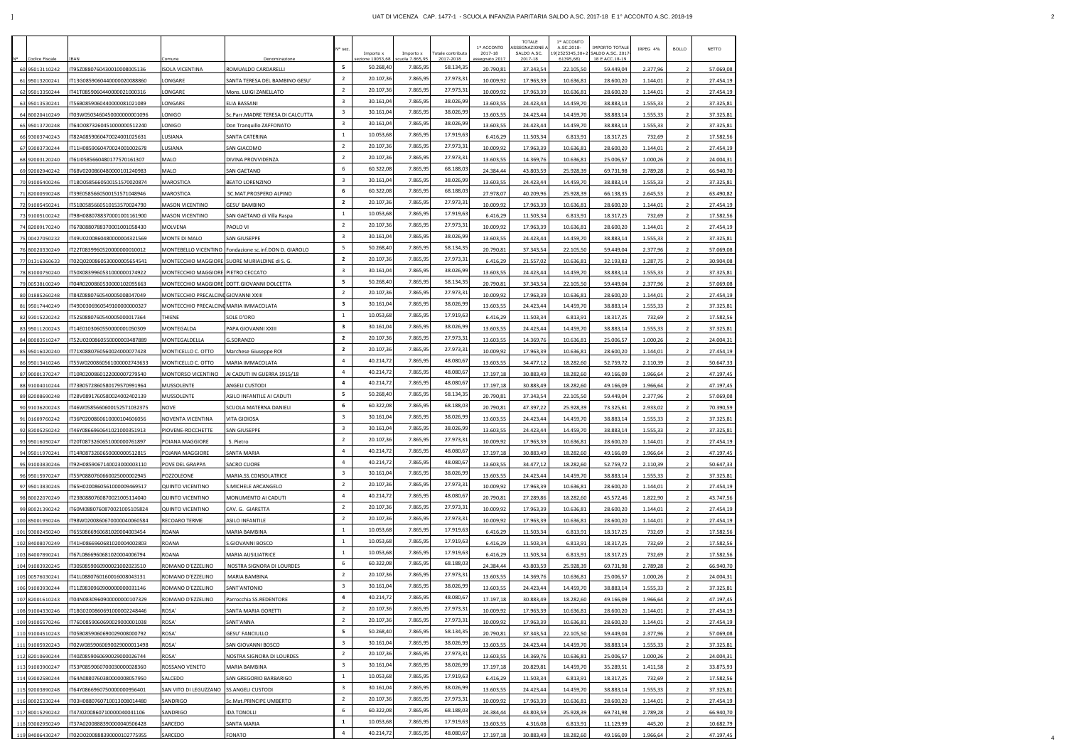|                                  |                                                           |                                         |                                                         | ° sez |                            |                              |                                | 1º ACCONTO              | <b>TOTALE</b><br>SEGNAZIONE | 1º ACCONTO<br>A.SC.2018- | <b>IMPORTO TOTALE</b>                            | IRPEG 4%           | <b>BOLLO</b>   | NETTO                  |
|----------------------------------|-----------------------------------------------------------|-----------------------------------------|---------------------------------------------------------|-------|----------------------------|------------------------------|--------------------------------|-------------------------|-----------------------------|--------------------------|--------------------------------------------------|--------------------|----------------|------------------------|
| Codice Fiscale                   | 3AN                                                       | omune                                   | Denominazione                                           |       | Importo x<br>ione 10053,68 | Importo x<br>scuola 7.865,95 | Totale contributo<br>2017-2018 | 2017-18<br>ssegnato 201 | SALDO A.SC.<br>2017-18      | 61395,68)                | 9(2525345,30+2 SALDO A.SC. 201<br>18 E ACC.18-19 |                    |                |                        |
| 60 95013110242                   | F95Z0880760430010008005136                                | <b>ISOLA VICENTINA</b>                  | OMUALDO CARDARELLI                                      |       | 50.268,40                  | 7.865,95                     | 58.134,3                       | 20.790,8                | 37.343,54                   | 22.105,50                | 59.449,04                                        | 2.377,96           |                | 57.069,08              |
| 61 95013200241                   | T13G0859060440000020088860                                | LONGARE                                 | ANTA TERESA DEL BAMBINO GESU'                           |       | 20.107,36                  | 7.865,95                     | 27.973,31                      | 10.009,92               | 17.963,39                   | 10.636,81                | 28.600,20                                        | 1.144,01           |                | 27.454,19              |
| 62 95013350244                   | T41T0859060440000021000316                                | LONGARE                                 | Mons. LUIGI ZANELLATO                                   |       | 20.107,36<br>30.161,04     | 7.865,95<br>7.865,95         | 27.973,3<br>38.026,99          | 10.009,92               | 17.963,39                   | 10.636,81                | 28.600,20                                        | 1.144,01           |                | 27.454,19              |
| 63 95013530241                   | T56B0859060440000081021089                                | LONGARE                                 | LIA BASSANI                                             |       | 30.161,04                  | 7.865,95                     | 38.026,99                      | 13.603,55               | 24.423,44                   | 14.459,70                | 38.883,14                                        | 1.555,33           | $\overline{2}$ | 37.325,81              |
| 64 80020410249                   | IT03W05034604500000000001096                              | LONIGO                                  | Sc.Parr.MADRE TERESA DI CALCUTTA                        |       | 30.161,04                  | 7.865,95                     | 38.026,99                      | 13.603,55               | 24.423,44                   | 14.459,70                | 38.883,14                                        | 1.555,33           |                | 37.325,81              |
| 65 95013720248                   | T64O0873260451000000512240                                | LONIGO                                  | Don Tranquillo ZAFFONATO                                |       | 10.053,68                  | 7.865,95                     | 17.919,63                      | 13.603,55               | 24.423,44                   | 14.459,70                | 38.883,14                                        | 1.555,33           | 2              | 37.325,81              |
| 66 93003740243<br>67 93003730244 | IT82A0859060470024001025631<br>T11H0859060470024001002678 | LUSIANA<br>LUSIANA                      | SANTA CATERINA<br>SAN GIACOMO                           |       | 20.107,36                  | 7.865,95                     | 27.973,3                       | 6.416,29<br>10.009,92   | 11.503,34<br>17.963,39      | 6.813,91<br>10.636,81    | 18.317,25<br>28.600,20                           | 732,69<br>1.144,01 |                | 17.582,56<br>27.454,19 |
| 68 92003120240                   | F61I0585660480177570161307                                | MALO                                    | )IVINA PROVVIDENZA                                      |       | 20.107,36                  | 7.865,95                     | 27.973,3                       | 13.603,55               | 14.369,76                   | 10.636,8                 | 25.006,57                                        | 1.000,26           |                | 24.004,31              |
| 69 92002940242                   | F68V0200860480000101240983                                | <b>MALO</b>                             | SAN GAETANO                                             |       | 60.322,08                  | 7.865,95                     | 68.188,03                      | 24.384,44               | 43.803,59                   | 25.928,39                | 69.731,98                                        | 2.789,28           |                | 66.940,70              |
| 70 91005400246                   | T18O0585660500151570020874                                | <b>MAROSTICA</b>                        | BEATO LORENZINO                                         |       | 30.161,04                  | 7.865,95                     | 38.026,99                      | 13.603,55               | 24.423,44                   | 14.459,70                | 38.883,14                                        | 1.555,33           |                | 37.325,81              |
| 71 82000590248                   | T39E0585660500151571048946                                | MAROSTICA                               | <b>SC.MAT.PROSPERO ALPINO</b>                           |       | 60.322,08                  | 7.865,95                     | 68.188,03                      | 27.978,07               | 40.209,96                   | 25.928,39                | 66.138,35                                        | 2.645,53           |                | 63.490,82              |
| 72 91005450241                   | T51B0585660510153570024790                                | <b>MASON VICENTINO</b>                  | GESU' BAMBINO                                           |       | 20.107,36                  | 7.865,95                     | 27.973,3                       | 10.009,92               | 17.963,39                   | 10.636,81                | 28.600,20                                        | 1.144,01           |                | 27.454,19              |
| 73 91005100242                   | T98H0880788370001001161900                                | <b>MASON VICENTINO</b>                  | SAN GAETANO di Villa Raspa                              |       | 10.053,68                  | 7.865,95                     | 17.919,63                      | 6.416,29                | 11.503,34                   | 6.813,91                 | 18.317,25                                        | 732,69             |                | 17.582,56              |
| 74 82009170240                   | T67B0880788370001001058430                                | MOLVENA                                 | PAOLO VI                                                |       | 20.107,36                  | 7.865,95                     | 27.973,3                       | 10.009,92               | 17.963,39                   | 10.636,81                | 28.600,20                                        | 1.144,01           |                | 27.454,19              |
| 75 00427050232                   | T49U0200860480000004321569                                | MONTE DI MALO                           | SAN GIUSEPPE                                            |       | 30.161,04                  | 7.865,95                     | 38.026,99                      | 13.603,55               | 24.423,44                   | 14.459,70                | 38.883,14                                        | 1.555,33           |                | 37.325,81              |
| 76 80020330249                   | T22T0839960520000000010012                                |                                         | MONTEBELLO VICENTINO   Fondazione sc.inf.DON D. GIAROLO |       | 50.268,40                  | 7.865,95                     | 58.134,35                      | 20.790,81               | 37.343,54                   | 22.105,50                | 59.449,04                                        | 2.377,96           |                | 57.069,08              |
| 77 01316360633                   | T02Q0200860530000005654541                                |                                         | MONTECCHIO MAGGIORE SUORE MURIALDINE di S. G.           |       | 20.107,36                  | 7.865,95                     | 27.973,3                       | 6.416,29                | 21.557,02                   | 10.636,81                | 32.193,83                                        | 1.287,75           | - 2            | 30.904,08              |
| 78 81000750240                   | F50X0839960531000000174922                                | MONTECCHIO MAGGIORE PIETRO CECCATO      |                                                         |       | 30.161,04                  | 7.865,95                     | 38.026,99                      | 13.603,55               | 24.423,44                   | 14.459,70                | 38.883,14                                        | 1.555,33           |                | 37.325,81              |
| 79 00538100249                   | T04R0200860530000102095663                                |                                         | MONTECCHIO MAGGIORE DOTT.GIOVANNI DOLCETTA              |       | 50.268,40                  | 7.865,95                     | 58.134,3                       | 20.790,8                | 37.343,54                   | 22.105,50                | 59.449,04                                        | 2.377,96           |                | 57.069,08              |
| 80 01885260248                   | T84Z0880760540005008047049                                | MONTECCHIO PRECALCINI GIOVANNI XXIII    |                                                         |       | 20.107,36                  | 7.865,95                     | 27.973,31                      | 10.009,92               | 17.963,39                   | 10.636,81                | 28.600,20                                        | 1.144,01           |                | 27.454,19              |
| 81 95017440249                   | T49D0306960549100000000327                                | MONTECCHIO PRECALCINO MARIA IMMACOLATA  |                                                         |       | 30.161,04                  | 7.865,95                     | 38.026,99                      | 13.603,55               | 24.423,44                   | 14.459,70                | 38.883,14                                        | 1.555,33           |                | 37.325,81              |
| 82 93015220242                   | T52S0880760540005000017364                                | <b>THIENE</b>                           | SOLE D'ORO                                              |       | 10.053,68                  | 7.865,95                     | 17.919,63                      | 6.416,29                | 11.503,34                   | 6.813,91                 | 18.317,25                                        | 732,69             |                | 17.582,56              |
| 83 95011200243                   | IT14E0103060550000001050309                               | MONTEGALDA                              | PAPA GIOVANNI XXIII                                     |       | 30.161,04                  | 7.865,95                     | 38.026,99                      | 13.603,55               | 24.423,44                   | 14.459,70                | 38.883,14                                        | 1.555,33           |                | 37.325,81              |
| 84 80003510247                   | T52U0200860550000003487889                                | MONTEGALDELLA                           | i.SORANZO                                               |       | 20.107,36                  | 7.865,95                     | 27.973,3                       | 13.603,55               | 14.369,76                   | 10.636,81                | 25.006,57                                        | 1.000,26           |                | 24.004,31              |
| 85 95016020240                   | T71X0880760560024000077428                                | MONTICELLO C. OTTO                      | Marchese Giuseppe ROI                                   |       | 20.107,36                  | 7.865,95                     | 27.973,31                      | 10.009,92               | 17.963,39                   | 10.636,81                | 28.600,20                                        | 1.144,01           |                | 27.454,19              |
| 86 95013410246                   | T55W0200860561000002743633                                | MONTICELLO C. OTTO                      | MARIA IMMACOLATA                                        |       | 40.214,72                  | 7.865,95                     | 48.080,67                      | 13.603,55               | 34.477,12                   | 18.282,60                | 52.759,72                                        | 2.110,39           |                | 50.647,33              |
| 87 90001370247                   | T10R0200860122000007279540                                | MONTORSO VICENTINO                      | AI CADUTI IN GUERRA 1915/18                             |       | 40.214,72                  | 7.865,95                     | 48.080,67                      | 17.197,18               | 30.883,49                   | 18.282,60                | 49.166,09                                        | 1.966,64           |                | 47.197,45              |
| 88 91004010244                   | T73B0572860580179570991964                                | <b>MUSSOLENTE</b>                       | ANGELI CUSTODI                                          |       | 40.214,72                  | 7.865,95                     | 48.080,67                      | 17.197,18               | 30.883,49                   | 18.282,60                | 49.166,09                                        | 1.966,64           |                | 47.197,45              |
| 89 82008690248                   | F28V0891760580024002402139                                | MUSSOLENTE                              | <b>SILO INFANTILE AI CADUTI</b>                         |       | 50.268,40                  | 7.865,95                     | 58.134,3                       | 20.790,8                | 37.343,54                   | 22.105,50                | 59.449,04                                        | 2.377,96           |                | 57.069,08              |
| 90 91036200243                   | T46W0585660600152571032375                                | <b>NOVE</b>                             | SCUOLA MATERNA DANIELI                                  |       | 60.322,08                  | 7.865,95                     | 68.188,03                      | 20.790,8                | 47.397,22                   | 25.928,39                | 73.325,61                                        | 2.933,02           |                | 70.390,59              |
| 91 01609760242                   | F36P0200860610000104606056                                | NOVENTA VICENTINA                       | ITA GIOIOSA                                             |       | 30.161,0                   | 7.865,95                     | 38.026,99                      | 13.603,55               | 24.423,44                   | 14.459,70                | 38.883,14                                        | 1.555,33           |                | 37.325,81              |
| 92 83005250242                   | IT46Y0866960641021000351913                               | PIOVENE-ROCCHETTE                       | SAN GIUSEPPE                                            |       | 30.161,04                  | 7.865,95                     | 38.026,99                      | 13.603,55               | 24.423,44                   | 14.459,70                | 38.883,14                                        | 1.555,33           |                | 37.325,81              |
| 93 95016050247                   | IT20T0873260651000000761897                               | POIANA MAGGIORE                         | S. Pietro                                               |       | 20.107,36                  | 7.865,95                     | 27.973,31                      | 10.009,92               | 17.963,39                   | 10.636,81                | 28.600,20                                        | 1.144,01           | $\overline{2}$ | 27.454,19              |
| 94 95011970241                   | T14R0873260650000000512815                                | POJANA MAGGIORE                         | SANTA MARIA                                             |       | 40.214,72                  | 7.865,95                     | 48.080,67                      | 17.197,18               | 30.883,49                   | 18.282,60                | 49.166,09                                        | 1.966,64           | $\overline{2}$ | 47.197,45              |
| 95 91003830246                   | T92H0859067140023000003110                                | POVE DEL GRAPPA                         | SACRO CUORE                                             |       | 40.214,72                  | 7.865,95                     | 48.080,67                      | 13.603,55               | 34.477,12                   | 18.282,60                | 52.759,72                                        | 2.110,39           |                | 50.647,33              |
| 96 95015970247                   | T55P0880760660025000002945                                | POZZOLEONE                              | MARIA.SS.CONSOLATRICE                                   |       | 30.161,04                  | 7.865,95                     | 38.026,99                      | 13.603,55               | 24.423,44                   | 14.459,70                | 38.883,14                                        | 1.555,33           | - 2            | 37.325,81              |
| 97 95013830245                   | T65H0200860561000009469517                                | <b>QUINTO VICENTINO</b>                 | S.MICHELE ARCANGELO                                     |       | 20.107,36                  | 7.865,95                     | 27.973,3                       | 10.009,92               | 17.963,39                   | 10.636,81                | 28.600,20                                        | 1.144,01           |                | 27.454,19              |
| 98 80022070249                   | T23B0880760870021005114040                                | <b>QUINTO VICENTINO</b>                 | MONUMENTO AI CADUTI                                     |       | 40.214,72                  | 7.865,95                     | 48.080,67                      | 20.790,81               | 27.289,86                   | 18.282,60                | 45.572,46                                        | 1.822,90           | - 2            | 43.747,56              |
| 99 80021390242                   | F60M0880760870021005105824                                | <b>QUINTO VICENTINO</b>                 | CAV. G. GIARETTA                                        |       | 20.107,36                  | 7.865,95                     | 27.973,3                       | 10.009,92               | 17.963,39                   | 10.636,81                | 28.600,20                                        | 1.144,01           |                | 27.454,19              |
| 100 85001950246                  | F98W0200860670000040060584                                | RECOARO TERME                           | <b>ASILO INFANTILE</b>                                  |       | 20.107,36                  | 7.865,95                     | 27.973,31                      | 10.009,92               | 17.963,39                   | 10.636,81                | 28.600,20                                        | 1.144,01           |                | 27.454,19              |
| 101 93002450240                  | T65S0866960681020004003454                                | <b>ROANA</b>                            | <b>MARIA BAMBINA</b>                                    |       | 10.053,68                  | 7.865,95                     | 17.919,63                      | 6.416,29                | 11.503,34                   | 6.813,91                 | 18.317,25                                        | 732,69             |                | 17.582,56              |
| 102 84008070249                  | T41H0866960681020004002803                                | <b>ROANA</b>                            | S.GIOVANNI BOSCO                                        |       | 10.053,68                  | 7.865,95                     | 17.919,63                      | 6.416,29                | 11.503,34                   | 6.813,91                 | 18.317,25                                        | 732,69             |                | 17.582,56              |
| 103 84007890241                  | T67L0866960681020004006794                                | <b>ROANA</b>                            | MARIA AUSILIATRICE                                      |       | 10.053,68                  | 7.865,95                     | 17.919,63                      | 6.416,29                | 11.503,34                   | 6.813,91                 | 18.317,25                                        | 732,69             |                | 17.582,56              |
| 104 91003920245                  | T30S0859060900021002023510                                | ROMANO D'EZZELINO                       | NOSTRA SIGNORA DI LOURDES                               |       | 60.322,08                  | 7.865,95                     | 68.188,03                      | 24.384,44               | 43.803,59                   | 25.928,39                | 69.731,98                                        | 2.789,28           |                | 66.940,70              |
| 105 00576030241                  | IT41L0880760160016008043131                               | ROMANO D'EZZELINO                       | MARIA BAMBINA                                           |       | 20.107,36                  | 7.865,95                     | 27.973,31                      | 13.603,55               | 14.369,76                   | 10.636,81                | 25.006,57                                        | 1.000,26           |                | 24.004,31              |
| 106 91003930244                  | T11Z0830960900000000031146                                | ROMANO D'EZZELINO                       | SANT'ANTONIO                                            |       | 30.161,04                  | 7.865,95                     | 38.026,99                      | 13.603,55               | 24.423,44                   | 14.459,70                | 38.883,14                                        | 1.555,33           |                | 37.325,81              |
| 107 82001610243                  | F04N0830960900000000107329                                | ROMANO D'EZZELINO                       | arrocchia SS.REDENTORE                                  |       | 40.214,72                  | 7.865,95                     | 48.080,67                      | 17.197,18               | 30.883,49                   | 18.282,60                | 49.166,09                                        | 1.966,64           |                | 47.197,45              |
| 108 91004330246                  | 18G0200860691000002248446                                 | ROSA'                                   | ANTA MARIA GORETTI                                      |       | 20.107,36                  | 7.865,95                     | 27.973,3                       | 10.009,92               | 17.963,39                   | 10.636,81                | 28.600,20                                        | 1.144,01           |                | 27.454,19              |
| 109 91005570246                  | F76D0859060690029000001038                                | ROSA'                                   | SANT'ANNA                                               |       | 20.107,36                  | 7.865,95                     | 27.973,3                       | 10.009,92               | 17.963,39                   | 10.636,81                | 28.600,20                                        | 1.144,01           |                | 27.454,19              |
| 110 91004510243                  | T05B0859060690029008000792                                | ROSA'                                   | ESU' FANCIULLO                                          |       | 50.268,40                  | 7.865,95                     | 58.134,35                      | 20.790,8                | 37.343,54                   | 22.105,50                | 59.449,04                                        | 2.377,96           |                | 57.069,08              |
| 111 91005920243                  | 02W0859060690029000011498                                 | ROSA'                                   | SAN GIOVANNI BOSCO                                      |       | 30.161,04                  | 7.865,95                     | 38.026,99                      | 13.603,55               | 24.423,44                   | 14.459,70                | 38.883,14                                        | 1.555,33           |                | 37.325,81              |
| 112 82010690244                  | F40Z0859060690029000026744                                | ROSA'                                   | NOSTRA SIGNORA DI LOURDES                               |       | 20.107,36                  | 7.865,95                     | 27.973,3                       | 13.603,55               | 14.369,76                   | 10.636,81                | 25.006,57                                        | 1.000,26           |                | 24.004,31              |
| 113 91003900247                  | T53P0859060700030000028360                                | ROSSANO VENETO                          | MARIA BAMBINA                                           |       | 30.161,04                  | 7.865,95                     | 38.026,99                      | 17.197,18               | 20.829,81                   | 14.459,70                | 35.289,51                                        | 1.411,58           |                | 33.875,93              |
| 114 93002580244                  | F64A0880760380000008057950                                | SALCEDO                                 | SAN GREGORIO BARBARIGO                                  |       | 10.053,68                  | 7.865,95                     | 17.919,63                      | 6.416,29                | 11.503,34                   | 6.813,91                 | 18.317,25                                        | 732,69             | $\overline{2}$ | 17.582,56              |
| 115 92003890248                  | F64Y0866960750000000956401                                | SAN VITO DI LEGUZZANO SS.ANGELI CUSTODI |                                                         |       | 30.161,04                  | 7.865,95                     | 38.026,99                      | 13.603,55               | 24.423,44                   | 14.459,70                | 38.883,14                                        | 1.555,33           |                | 37.325,81              |
| 116 80025330244                  | T03H0880760710013008014480                                | SANDRIGO                                | c.Mat.PRINCIPE UMBERTO                                  |       | 20.107,36                  | 7.865,95                     | 27.973,31                      | 10.009,92               | 17.963,39                   | 10.636,81                | 28.600,20                                        | 1.144,01           |                | 27.454,19              |
| 117 80015290242                  | T47J0200860710000040041106                                | SANDRIGO                                | <b>DA TONOLLI</b>                                       |       | 60.322,08                  | 7.865,95                     | 68.188,0                       | 24.384,44               | 43.803,59                   | 25.928,39                | 69.731,98                                        | 2.789,28           |                | 66.940,70              |
| 118 93002950249                  | T37A0200888390000040506428                                | SARCEDO                                 | SANTA MARIA                                             |       | 10.053,68                  | 7.865,95                     | 17.919,63                      | 13.603,55               | 4.316,08                    | 6.813,91                 | 11.129,99                                        | 445,20             |                | 10.682,79              |
| 119 84006430247                  | T02O0200888390000102775955                                | SARCEDO                                 | FONATO                                                  |       | 40.214,72                  | 7.865,95                     | 48.080,67                      | 17.197,18               | 30.883,49                   | 18.282,60                | 49.166,09                                        | 1.966,64           |                | 47.197,45              |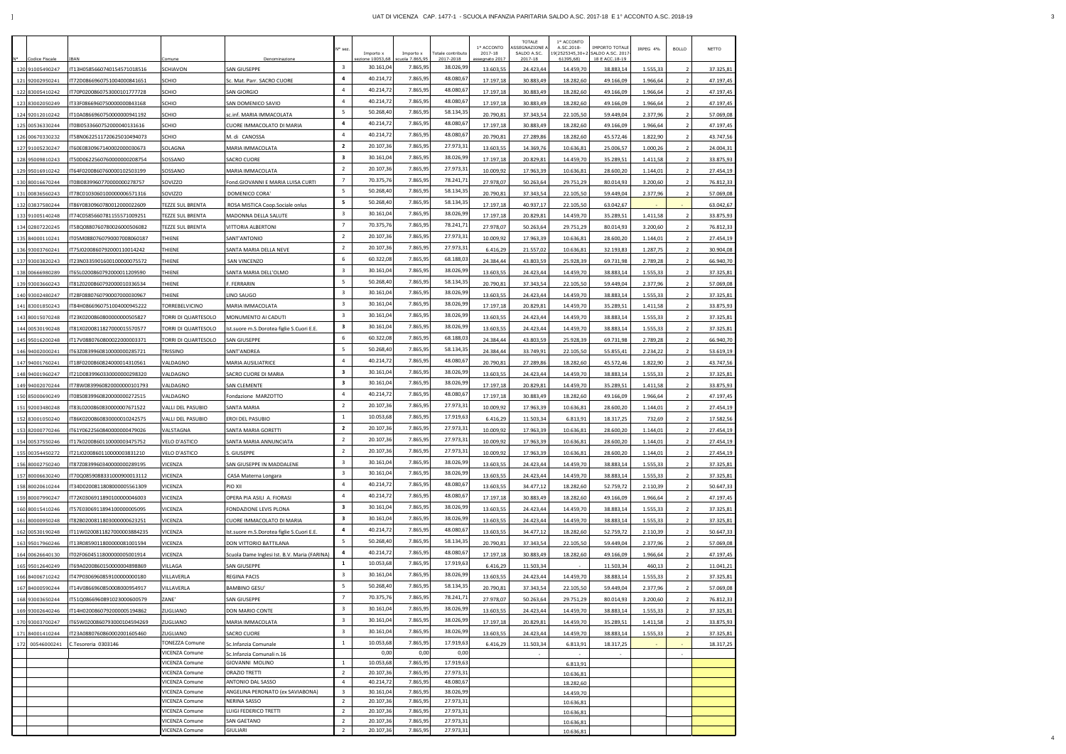|                                    |                                                          |                                  |                                              | N° sez.                                   |                              |                              |                                | 1º ACCONTO                | <b>TOTALE</b><br>SSEGNAZIONE | 1º ACCONTO<br>A.SC.2018-    | <b>IMPORTO TOTALE</b>              | IRPEG 4%             | <b>BOLLO</b>          | NETTO                  |
|------------------------------------|----------------------------------------------------------|----------------------------------|----------------------------------------------|-------------------------------------------|------------------------------|------------------------------|--------------------------------|---------------------------|------------------------------|-----------------------------|------------------------------------|----------------------|-----------------------|------------------------|
| <b>Codice Fiscale</b>              | BAN                                                      | comune.                          | Denominazione                                |                                           | Importo x<br>ezione 10053,68 | Importo x<br>scuola 7.865,95 | Totale contributo<br>2017-2018 | 2017-18<br>assegnato 2017 | SALDO A.SC.<br>2017-18       | 9(2525345,30+2<br>61395,68) | SALDO A.SC. 2017<br>18 E ACC.18-19 |                      |                       |                        |
| 120 91005490247                    | T13H0585660740154571018516                               | SCHIAVON                         | SAN GIUSEPPE                                 | $\overline{\mathbf{3}}$                   | 30.161,04                    | 7.865,95                     | 38.026,99                      | 13.603,55                 | 24.423,44                    | 14.459,70                   | 38.883,14                          | 1.555,33             |                       | 37.325,81              |
| 121 92002950241                    | T72D0866960751004000841651                               | SCHIO                            | Sc. Mat. Parr. SACRO CUORE                   | $\overline{a}$                            | 40.214,72                    | 7.865,95                     | 48.080,67                      | 17.197,18                 | 30.883,49                    | 18.282,60                   | 49.166,09                          | 1.966,64             | - 2                   | 47.197,45              |
| 122 83005410242                    | T70P0200860753000101777728                               | <b>SCHIO</b>                     | SAN GIORGIO                                  | $\overline{4}$                            | 40.214,72                    | 7.865,95                     | 48.080,67                      | 17.197,18                 | 30.883,49                    | 18.282,60                   | 49.166,09                          | 1.966,64             | - 2                   | 47.197,45              |
| 123 83002050249                    | T33F0866960750000000843168                               | SCHIO                            | SAN DOMENICO SAVIO                           | $\overline{4}$                            | 40.214,72                    | 7.865,95                     | 48.080,67                      | 17.197,18                 | 30.883,49                    | 18.282,60                   | 49.166,09                          | 1.966,64             | - 2                   | 47.197,45              |
| 124 92012010242                    | T10A0866960750000000941192                               | SCHIO                            | sc.inf. MARIA IMMACOLATA                     | 5<br>$\overline{a}$                       | 50.268,40<br>40.214,72       | 7.865,95<br>7.865,95         | 58.134,35<br>48.080,67         | 20.790,81                 | 37.343,54                    | 22.105,50                   | 59.449,04                          | 2.377,96             | - 2                   | 57.069,08              |
| 125 00536330244                    | 08l0533660752000040131616                                | SCHIO                            | CUORE IMMACOLATO DI MARIA                    | $\overline{4}$                            | 40.214,72                    | 7.865,95                     | 48.080,67                      | 17.197,18                 | 30.883,49                    | 18.282,60                   | 49.166,09                          | 1.966,64             | - 2                   | 47.197,45              |
| 126 00670330232                    | T58N0622511720625010494073                               | SCHIO                            | M. di CANOSSA                                | $\overline{2}$                            | 20.107,36                    | 7.865,95                     | 27.973,31                      | 20.790,81                 | 27.289,86                    | 18.282,60                   | 45.572,46                          | 1.822,90             | - 2                   | 43.747,56              |
| 127 91005230247<br>128 95009810243 | T60E0830967140002000030673<br>T50D0622560760000000208754 | SOLAGNA<br>SOSSANO               | MARIA IMMACOLATA<br><b>SACRO CUORE</b>       | 3                                         | 30.161,04                    | 7.865,95                     | 38.026,99                      | 13.603,55<br>17.197,18    | 14.369,76<br>20.829,81       | 10.636,81<br>14.459,70      | 25.006,57<br>35.289,51             | 1.000,26<br>1.411,58 | - 2<br>- 2            | 24.004,31<br>33.875,93 |
| 129 95016910242                    | T64F0200860760000102503199                               | SOSSANO                          | MARIA IMMACOLATA                             | $\overline{2}$                            | 20.107,36                    | 7.865,95                     | 27.973,31                      | 10.009,92                 | 17.963,39                    | 10.636,81                   | 28.600,20                          | 1.144,01             | - 2                   | 27.454,19              |
| 130 80016670244                    | T08I0839960770000000278757                               | SOVIZZO                          | Fond.GIOVANNI E MARIA LUISA CURTI            | $\overline{7}$                            | 70.375,76                    | 7.865,95                     | 78.241,71                      | 27.978,07                 | 50.263,64                    | 29.751,29                   | 80.014,93                          | 3.200,60             | - 2                   | 76.812,33              |
| 131 00836560243                    | T78C0103060100000006571316                               | SOVIZZO                          | DOMENICO CORA'                               | 5                                         | 50.268,40                    | 7.865,95                     | 58.134,35                      | 20.790,81                 | 37.343,54                    | 22.105,50                   | 59.449,04                          | 2.377,96             | $\overline{2}$        | 57.069,08              |
| 132 03837580244                    | T86Y0830960780012000022609                               | TEZZE SUL BRENTA                 | ROSA MISTICA Coop.Sociale onlus              | 5                                         | 50.268,40                    | 7.865,95                     | 58.134,35                      | 17.197,18                 | 40.937,17                    | 22.105,50                   | 63.042,67                          |                      |                       | 63.042,67              |
| 133 91005140248                    | T74C0585660781155571009251                               | TEZZE SUL BRENTA                 | MADONNA DELLA SALUTE                         | $\overline{\mathbf{3}}$                   | 30.161,04                    | 7.865,95                     | 38.026,99                      | 17.197,18                 | 20.829,81                    | 14.459,70                   | 35.289,51                          | 1.411,58             | $\overline{2}$        | 33.875,93              |
| 134 02807220245                    | T58Q0880760780026000506082                               | TEZZE SUL BRENTA                 | VITTORIA ALBERTONI                           | $\overline{7}$                            | 70.375,76                    | 7.865,95                     | 78.241,71                      | 27.978,07                 | 50.263,64                    | 29.751,29                   | 80.014,93                          | 3.200,60             | - 2                   | 76.812,33              |
| 135 84000110241                    | T05M0880760790007008060187                               | THIENE                           | SANT'ANTONIO                                 | $\overline{2}$                            | 20.107,36                    | 7.865,95                     | 27.973,31                      | 10.009,92                 | 17.963,39                    | 10.636,81                   | 28.600,20                          | 1.144,01             | - 2                   | 27.454,19              |
| 136 93003760241                    | T75J0200860792000110014242                               | THIENE                           | SANTA MARIA DELLA NEVE                       | $\overline{2}$                            | 20.107,36                    | 7.865,95                     | 27.973,31                      | 6.416,29                  | 21.557,02                    | 10.636,81                   | 32.193,83                          | 1.287,75             | - 2                   | 30.904,08              |
| 137 93003820243                    | T23N0335901600100000075572                               | THIENE                           | SAN VINCENZO                                 | 6                                         | 60.322,08                    | 7.865,95                     | 68.188,03                      | 24.384,44                 | 43.803,59                    | 25.928,39                   | 69.731,98                          | 2.789,28             | - 2                   | 66.940,70              |
| 138 00666980289                    | T65L0200860792000011209590                               | THIENE                           | SANTA MARIA DELL'OLMO                        | $\overline{\mathbf{3}}$                   | 30.161,04                    | 7.865,95                     | 38.026,99                      | 13.603,55                 | 24.423,44                    | 14.459,70                   | 38.883,14                          | 1.555,33             | - 2                   | 37.325,81              |
| 139 93003660243                    | T81Z0200860792000010336534                               | THIENE                           | . FERRARIN                                   | 5                                         | 50.268,40                    | 7.865,95                     | 58.134,35                      | 20.790,81                 | 37.343,54                    | 22.105,50                   | 59.449,04                          | 2.377,96             |                       | 57.069,08              |
| 140 93002480247                    | T28F0880760790007000030967                               | THIENE                           | INO SAUGO                                    | $\overline{\mathbf{3}}$                   | 30.161,04                    | 7.865,95                     | 38.026,99                      | 13.603,55                 | 24.423,44                    | 14.459,70                   | 38.883,14                          | 1.555,33             | - 2                   | 37.325,81              |
| 141 83001850243                    | T84H0866960751004000945222                               | TORREBELVICINO                   | MARIA IMMACOLATA                             | $\overline{\mathbf{3}}$                   | 30.161,04                    | 7.865,95                     | 38.026,99                      | 17.197,18                 | 20.829,81                    | 14.459,70                   | 35.289,51                          | 1.411,58             | - 2                   | 33.875,93              |
| 143 80015070248                    | T23K02008608000000000505827                              | TORRI DI QUARTESOLO              | MONUMENTO AI CADUTI                          | $\overline{\mathbf{3}}$                   | 30.161,04                    | 7.865,95                     | 38.026,99                      | 13.603,55                 | 24.423,44                    | 14.459,70                   | 38.883,14                          | 1.555,33             | $\overline{2}$        | 37.325,81              |
| 144 00530190248                    | T81X0200811827000015570577                               | TORRI DI QUARTESOLO              | Ist.suore m.S.Dorotea figlie S.Cuori E.E.    | 3<br>6                                    | 30.161,04<br>60.322,08       | 7.865,95                     | 38.026,99                      | 13.603,55                 | 24.423,44                    | 14.459,70                   | 38.883,14                          | 1.555,33             | $\overline{2}$        | 37.325,81              |
| 145 95016200248                    | T17V0880760800022000003371                               | TORRI DI QUARTESOLO              | <b>SAN GIUSEPPE</b>                          | 5                                         | 50.268,40                    | 7.865,95<br>7.865,95         | 68.188,03<br>58.134,35         | 24.384,44                 | 43.803,59                    | 25.928,39                   | 69.731,98                          | 2.789,28             | $\overline{2}$        | 66.940,70              |
| 146 94002000241                    | T63Z0839960810000000285721                               | TRISSINO                         | SANT'ANDREA                                  | $\overline{4}$                            | 40.214,72                    | 7.865,95                     | 48.080,67                      | 24.384,44                 | 33.749,91                    | 22.105,50                   | 55.855,41                          | 2.234,22             | - 2                   | 53.619,19              |
| 147 94001760241                    | T18F0200860824000014310561                               | VALDAGNO                         | MARIA AUSILIATRICE                           | 3                                         | 30.161,04                    | 7.865,95                     | 38.026,99                      | 20.790,81                 | 27.289,86                    | 18.282,60                   | 45.572,46                          | 1.822,90             | - 2                   | 43.747,56              |
| 148 94001960247<br>149 94002070244 | T21D0839960330000000298320<br>T78W0839960820000000101793 | VALDAGNO<br>VALDAGNO             | SACRO CUORE DI MARIA<br><b>SAN CLEMENTE</b>  | 3                                         | 30.161,04                    | 7.865,95                     | 38.026,99                      | 13.603,55<br>17.197,18    | 24.423,44<br>20.829,81       | 14.459,70<br>14.459,70      | 38.883,14<br>35.289,51             | 1.555,33<br>1.411,58 | - 2<br>- 2            | 37.325,81<br>33.875,93 |
| 150 85000690249                    | T08S0839960820000000272515                               | VALDAGNO                         | Fondazione MARZOTTO                          | $\overline{4}$                            | 40.214,72                    | 7.865,95                     | 48.080,67                      | 17.197,18                 | 30.883,49                    | 18.282,60                   | 49.166,09                          | 1.966,64             | - 2                   | 47.197,45              |
| 151 92003480248                    | T83L0200860830000007671522                               | VALLI DEL PASUBIO                | SANTA MARIA                                  | $\overline{2}$                            | 20.107,36                    | 7.865,95                     | 27.973,31                      | 10.009,92                 | 17.963,39                    | 10.636,81                   | 28.600,20                          | 1.144,01             | - 2                   | 27.454,19              |
| 152 83001050240                    | T86K0200860830000010242575                               | VALLI DEL PASUBIO                | EROI DEL PASUBIO                             | $\mathbf{1}$                              | 10.053,68                    | 7.865,95                     | 17.919,63                      | 6.416,29                  | 11.503,34                    | 6.813,91                    | 18.317,25                          | 732,69               | - 2                   | 17.582,56              |
| 153 82000770246                    | T61Y0622560840000000479026                               | VALSTAGNA                        | SANTA MARIA GORETTI                          | $\overline{2}$                            | 20.107,36                    | 7.865,95                     | 27.973,31                      | 10.009,92                 | 17.963,39                    | 10.636,81                   | 28.600,20                          | 1.144,01             | $\overline{2}$        | 27.454,19              |
| 154 00537550246                    | IT17k0200860110000003475752                              | <b>VELO D'ASTICO</b>             | SANTA MARIA ANNUNCIATA                       | $\overline{2}$                            | 20.107,36                    | 7.865,95                     | 27.973,31                      | 10.009,92                 | 17.963,39                    | 10.636,81                   | 28.600,20                          | 1.144,01             | $\overline{2}$        | 27.454,19              |
| 155 00354450272                    | T21J0200860110000003831210                               | VELO D'ASTICO                    | S. GIUSEPPE                                  | $\overline{2}$                            | 20.107,36                    | 7.865,95                     | 27.973,31                      | 10.009,92                 | 17.963,39                    | 10.636,81                   | 28.600,20                          | 1.144,01             | $\overline{2}$        | 27.454,19              |
| 156 80002750240                    | T87Z0839960340000000289195                               | VICENZA                          | SAN GIUSEPPE IN MADDALENE                    | $\overline{\mathbf{3}}$                   | 30.161,04                    | 7.865,95                     | 38.026,99                      | 13.603,55                 | 24.423,44                    | 14.459,70                   | 38.883,14                          | 1.555,33             | $\overline{2}$        | 37.325,81              |
| 157 80006630240                    | T70Q0859088331000900013112                               | VICENZA                          | CASA Materna Longara                         | $\overline{\mathbf{3}}$                   | 30.161,04                    | 7.865,95                     | 38.026,99                      | 13.603,55                 | 24.423,44                    | 14.459,70                   | 38.883,14                          | 1.555,33             | - 2                   | 37.325,81              |
| 158 80020610244                    | T34D0200811808000005561309                               | VICENZA                          | PIO XII                                      | $\overline{4}$                            | 40.214,72                    | 7.865,95                     | 48.080,67                      | 13.603,55                 | 34.477,12                    | 18.282,60                   | 52.759,72                          | 2.110,39             | - 2                   | 50.647,33              |
| 159 80007990247                    | T72K0306911890100000046003                               | VICENZA                          | OPERA PIA ASILI A. FIORASI                   | $\overline{4}$                            | 40.214,72                    | 7.865,95                     | 48.080,67                      | 17.197,18                 | 30.883,49                    | 18.282,60                   | 49.166,09                          | 1.966,64             | - 2                   | 47.197,45              |
| 160 80015410246                    | T57E0306911894100000005095                               | VICENZA                          | FONDAZIONE LEVIS PLONA                       | $\overline{\mathbf{3}}$                   | 30.161,04                    | 7.865,95                     | 38.026,99                      | 13.603,55                 | 24.423,44                    | 14.459,70                   | 38.883,14                          | 1.555,33             | - 2                   | 37.325,81              |
| 161 80000950248                    | T82B0200811803000000623251                               | VICENZA                          | CUORE IMMACOLATO DI MARIA                    | $\overline{\mathbf{3}}$<br>$\overline{a}$ | 30.161,04<br>40.214,72       | 7.865,95<br>7.865,95         | 38.026,99<br>48.080,67         | 13.603,55                 | 24.423,44                    | 14.459,70                   | 38.883,14                          | 1.555,33             | - 2                   | 37.325,81              |
| 162 00530190248                    | T11W0200811827000003884235                               | VICENZA                          | Ist.suore m.S.Dorotea figlie S.Cuori E.E.    | 5                                         | 50.268,40                    | 7.865,95                     | 58.134,35                      | 13.603,55                 | 34.477,12                    | 18.282,60                   | 52.759,72                          | 2.110,39             | $\overline{2}$        | 50.647,33              |
| 163 95017960246                    | T13R0859011800000081001594                               | VICENZA                          | DON VITTORIO BATTILANA                       | $\overline{\mathbf{a}}$                   | 40.214,72                    | 7.865,95                     | 48.080,67                      | 20.790,81                 | 37.343,54                    | 22.105,50                   | 59.449,04                          | 2.377,96             | $\overline{2}$        | 57.069,08              |
| 164 00626640130                    | T02F0604511800000005001914                               | VICENZA                          | Scuola Dame Inglesi Ist. B.V. Maria (FARINA) | 1                                         | 10.053,68                    | 7.865,95                     | 17.919,63                      | 17.197,18                 | 30.883,49                    | 18.282,60                   | 49.166,09                          | 1.966,64             | $\overline{2}$        | 47.197,45              |
| 165 95012640249<br>166 84006710242 | T69A0200860150000004898869<br>T47P0306960859100000000180 | VILLAGA<br>VILLAVERLA            | SAN GIUSEPPE<br>REGINA PACIS                 | $\overline{\mathbf{3}}$                   | 30.161,04                    | 7.865,95                     | 38.026,99                      | 6.416,29<br>13.603,55     | 11.503,34<br>24.423,44       | 14.459,70                   | 11.503,34<br>38.883,14             | 460,13<br>1.555,33   | - 2<br>$\overline{2}$ | 11.041,21<br>37.325,81 |
| 167 84000590244                    | T14V0866960850008000954917                               | VILLAVERLA                       | <b>BAMBINO GESU'</b>                         | 5                                         | 50.268,40                    | 7.865,95                     | 58.134,35                      | 20.790,81                 | 37.343,54                    | 22.105,50                   | 59.449,04                          | 2.377,96             | - 2                   | 57.069,08              |
| 168 93003650244                    | T51Q0866960891023000600579                               | ZANE'                            | SAN GIUSEPPE                                 | $\overline{7}$                            | 70.375,76                    | 7.865,95                     | 78.241,71                      | 27.978,07                 | 50.263,64                    | 29.751,29                   | 80.014,93                          | 3.200,60             | $\overline{2}$        | 76.812,33              |
| 169 93002640246                    | T14H0200860792000005194862                               | ZUGLIANO                         | DON MARIO CONTE                              | $\overline{\mathbf{3}}$                   | 30.161,04                    | 7.865,95                     | 38.026,99                      | 13.603,55                 | 24.423,44                    | 14.459,70                   | 38.883,14                          | 1.555,33             |                       | 37.325,81              |
| 170 93003700247                    | T65W0200860793000104594269                               | ZUGLIANO                         | MARIA IMMACOLATA                             | $\overline{\mathbf{3}}$                   | 30.161,04                    | 7.865,95                     | 38.026,99                      | 17.197,18                 | 20.829,81                    | 14.459,70                   | 35.289,51                          | 1.411,58             | - 2                   | 33.875,93              |
| 171 84001410244                    | T23A0880760860002001605460                               | ZUGLIANO                         | <b>SACRO CUORE</b>                           | $\overline{\mathbf{3}}$                   | 30.161,04                    | 7.865,95                     | 38.026,99                      | 13.603,55                 | 24.423,44                    | 14.459,70                   | 38.883,14                          | 1.555,33             | - 2                   | 37.325,81              |
| 172 00546000241                    | C.Tesoreria 0303146                                      | TONEZZA Comune                   | Sc.Infanzia Comunale                         | $\mathbf{1}$                              | 10.053,68                    | 7.865,95                     | 17.919,63                      | 6.416,29                  | 11.503,34                    | 6.813,91                    | 18.317,25                          |                      |                       | 18.317,25              |
|                                    |                                                          | VICENZA Comune                   | Sc.Infanzia Comunali n.16                    |                                           | 0,00                         | 0,00                         | 0,00                           |                           |                              |                             |                                    |                      |                       |                        |
|                                    |                                                          | VICENZA Comune<br>/ICENZA Comune | GIOVANNI MOLINO<br><b>ORAZIO TRETTI</b>      | $\mathbf{1}$<br>$\overline{2}$            | 10.053,68<br>20.107,36       | 7.865,95<br>7.865,95         | 17.919,63<br>27.973,31         |                           |                              | 6.813,91                    |                                    |                      |                       |                        |
|                                    |                                                          | VICENZA Comune                   | ANTONIO DAL SASSO                            | $\overline{4}$                            | 40.214,72                    | 7.865,95                     | 48.080,67                      |                           |                              | 10.636,81<br>18.282,60      |                                    |                      |                       |                        |
|                                    |                                                          | VICENZA Comune                   | ANGELINA PERONATO (ex SAVIABONA)             | $\overline{\mathbf{3}}$                   | 30.161,04                    | 7.865,95                     | 38.026,99                      |                           |                              | 14.459,70                   |                                    |                      |                       |                        |
|                                    |                                                          | /ICENZA Comune                   | NERINA SASSO                                 | $\overline{2}$                            | 20.107,36                    | 7.865,95                     | 27.973,31                      |                           |                              | 10.636,81                   |                                    |                      |                       |                        |
|                                    |                                                          | VICENZA Comune<br>VICENZA Comune | LUIGI FEDERICO TRETTI<br><b>SAN GAETANO</b>  | $\overline{2}$<br>$\overline{2}$          | 20.107,36<br>20.107,36       | 7.865,95<br>7.865,95         | 27.973,31<br>27.973,31         |                           |                              | 10.636,81                   |                                    |                      |                       |                        |
|                                    |                                                          | VICENZA Comune                   | <b>GIULIARI</b>                              | $\overline{2}$                            | 20.107,36                    | 7.865,95                     | 27.973,31                      |                           |                              | 10.636,81<br>10.636,81      |                                    |                      |                       |                        |